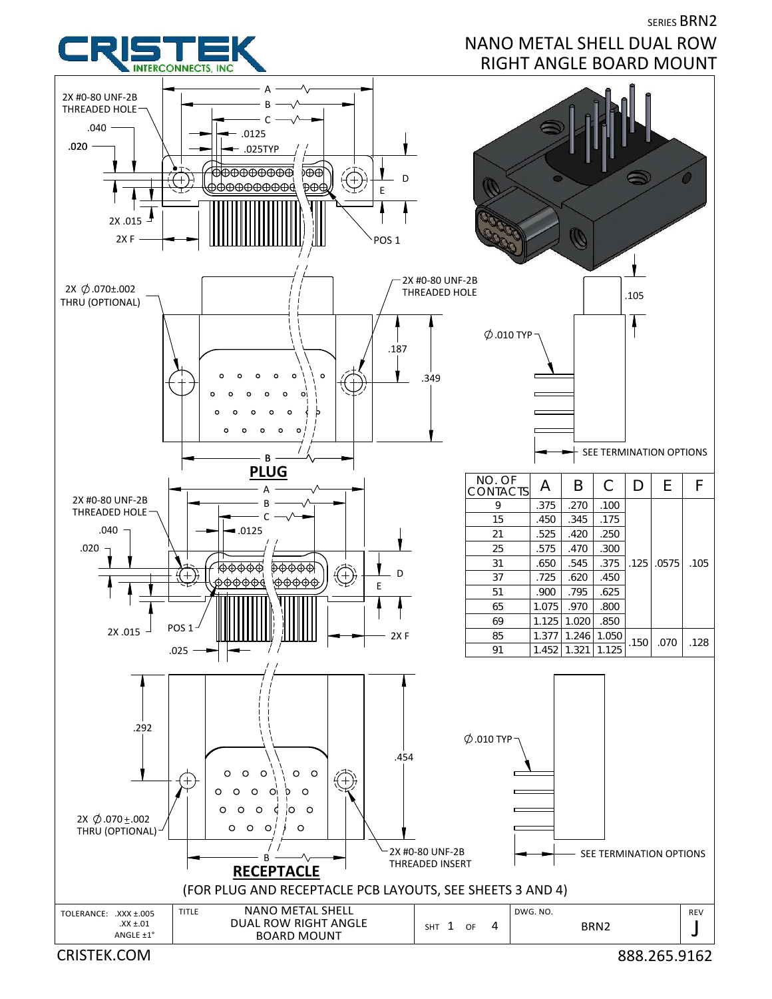**INTERCONNECTS** INC

## SERIES BRN2 NANO METAL SHELL DUAL ROW RIGHT ANGLE BOARD MOUNT



CRISTEK.COM 888.265.9162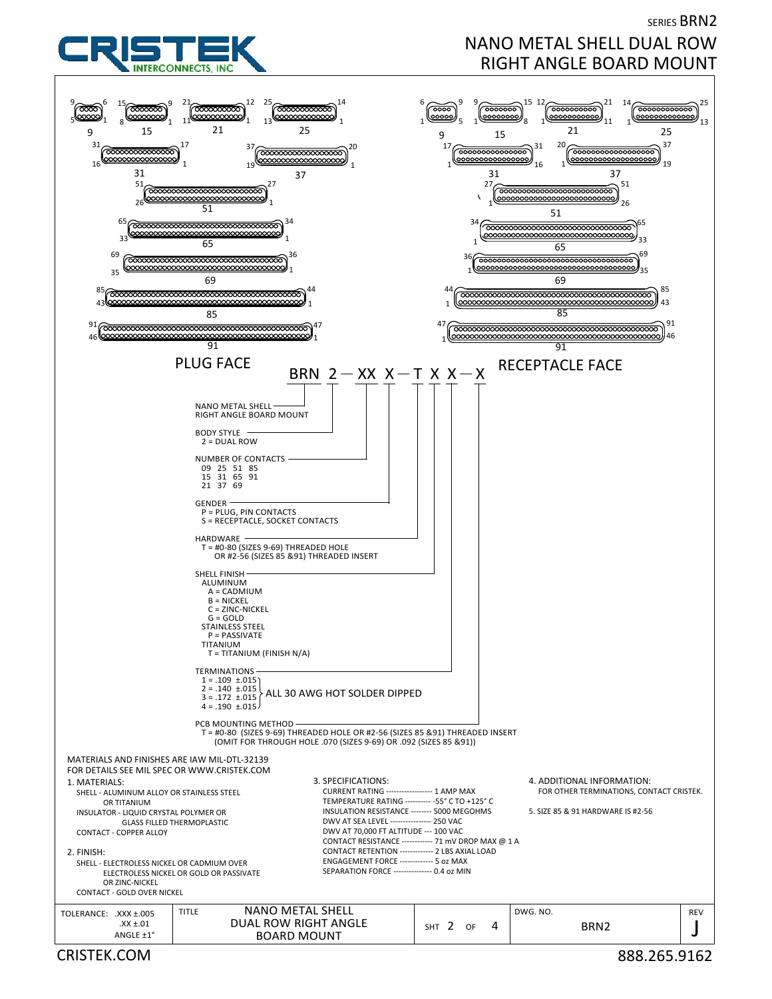

SERIES BRN2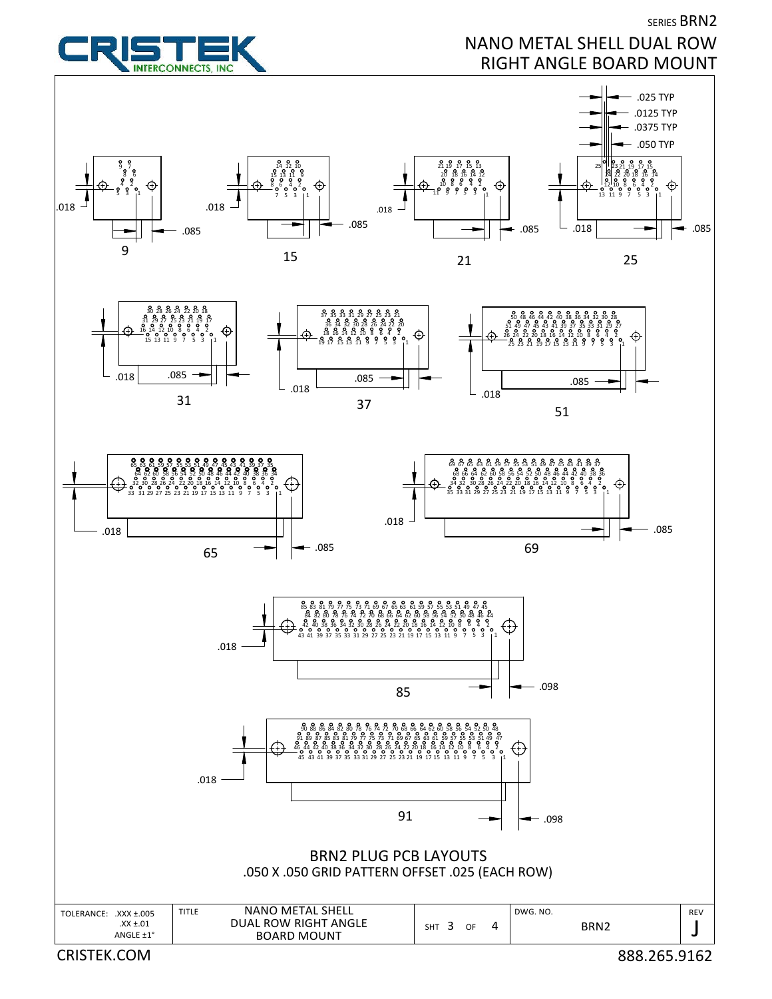

CRISTEK.COM 888.265.9162

SERIES BRN2